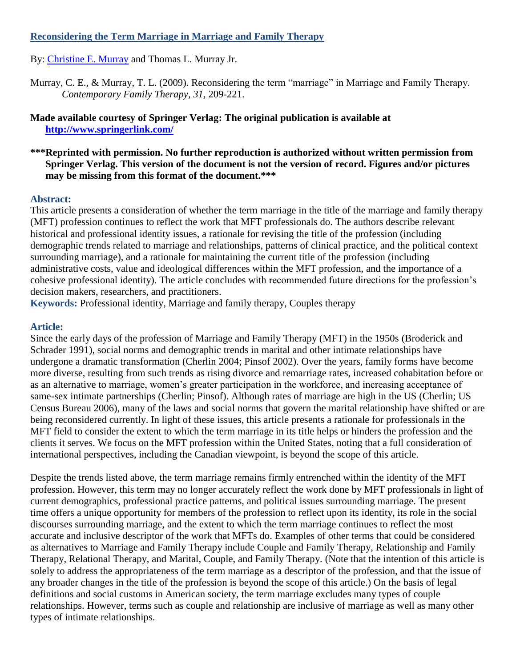## **Reconsidering the Term Marriage in Marriage and Family Therapy**

By: [Christine E. Murray](http://libres.uncg.edu/ir/uncg/clist.aspx?id=894) and Thomas L. Murray Jr.

Murray, C. E., & Murray, T. L. (2009). Reconsidering the term "marriage" in Marriage and Family Therapy. *Contemporary Family Therapy, 31,* 209-221.

**Made available courtesy of Springer Verlag: The original publication is available at <http://www.springerlink.com/>**

## **\*\*\*Reprinted with permission. No further reproduction is authorized without written permission from Springer Verlag. This version of the document is not the version of record. Figures and/or pictures may be missing from this format of the document.\*\*\***

#### **Abstract:**

This article presents a consideration of whether the term marriage in the title of the marriage and family therapy (MFT) profession continues to reflect the work that MFT professionals do. The authors describe relevant historical and professional identity issues, a rationale for revising the title of the profession (including demographic trends related to marriage and relationships, patterns of clinical practice, and the political context surrounding marriage), and a rationale for maintaining the current title of the profession (including administrative costs, value and ideological differences within the MFT profession, and the importance of a cohesive professional identity). The article concludes with recommended future directions for the profession's decision makers, researchers, and practitioners.

**Keywords:** Professional identity, Marriage and family therapy, Couples therapy

## **Article:**

Since the early days of the profession of Marriage and Family Therapy (MFT) in the 1950s (Broderick and Schrader 1991), social norms and demographic trends in marital and other intimate relationships have undergone a dramatic transformation (Cherlin 2004; Pinsof 2002). Over the years, family forms have become more diverse, resulting from such trends as rising divorce and remarriage rates, increased cohabitation before or as an alternative to marriage, women's greater participation in the workforce, and increasing acceptance of same-sex intimate partnerships (Cherlin; Pinsof). Although rates of marriage are high in the US (Cherlin; US Census Bureau 2006), many of the laws and social norms that govern the marital relationship have shifted or are being reconsidered currently. In light of these issues, this article presents a rationale for professionals in the MFT field to consider the extent to which the term marriage in its title helps or hinders the profession and the clients it serves. We focus on the MFT profession within the United States, noting that a full consideration of international perspectives, including the Canadian viewpoint, is beyond the scope of this article.

Despite the trends listed above, the term marriage remains firmly entrenched within the identity of the MFT profession. However, this term may no longer accurately reflect the work done by MFT professionals in light of current demographics, professional practice patterns, and political issues surrounding marriage. The present time offers a unique opportunity for members of the profession to reflect upon its identity, its role in the social discourses surrounding marriage, and the extent to which the term marriage continues to reflect the most accurate and inclusive descriptor of the work that MFTs do. Examples of other terms that could be considered as alternatives to Marriage and Family Therapy include Couple and Family Therapy, Relationship and Family Therapy, Relational Therapy, and Marital, Couple, and Family Therapy. (Note that the intention of this article is solely to address the appropriateness of the term marriage as a descriptor of the profession, and that the issue of any broader changes in the title of the profession is beyond the scope of this article.) On the basis of legal definitions and social customs in American society, the term marriage excludes many types of couple relationships. However, terms such as couple and relationship are inclusive of marriage as well as many other types of intimate relationships.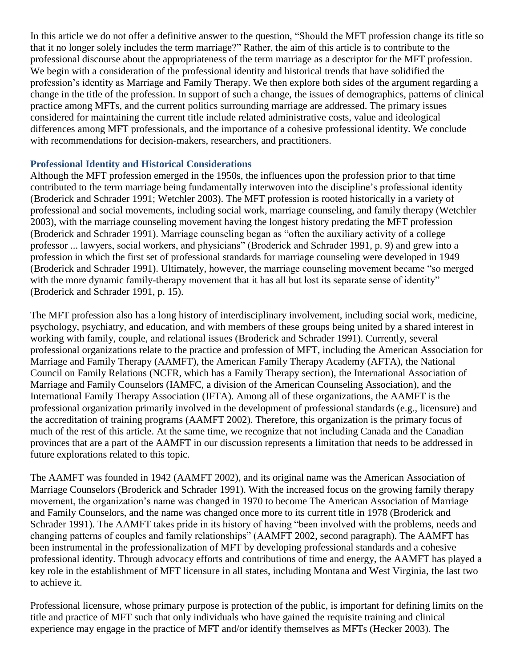In this article we do not offer a definitive answer to the question, "Should the MFT profession change its title so that it no longer solely includes the term marriage?" Rather, the aim of this article is to contribute to the professional discourse about the appropriateness of the term marriage as a descriptor for the MFT profession. We begin with a consideration of the professional identity and historical trends that have solidified the profession's identity as Marriage and Family Therapy. We then explore both sides of the argument regarding a change in the title of the profession. In support of such a change, the issues of demographics, patterns of clinical practice among MFTs, and the current politics surrounding marriage are addressed. The primary issues considered for maintaining the current title include related administrative costs, value and ideological differences among MFT professionals, and the importance of a cohesive professional identity. We conclude with recommendations for decision-makers, researchers, and practitioners.

## **Professional Identity and Historical Considerations**

Although the MFT profession emerged in the 1950s, the influences upon the profession prior to that time contributed to the term marriage being fundamentally interwoven into the discipline's professional identity (Broderick and Schrader 1991; Wetchler 2003). The MFT profession is rooted historically in a variety of professional and social movements, including social work, marriage counseling, and family therapy (Wetchler 2003), with the marriage counseling movement having the longest history predating the MFT profession (Broderick and Schrader 1991). Marriage counseling began as "often the auxiliary activity of a college professor ... lawyers, social workers, and physicians" (Broderick and Schrader 1991, p. 9) and grew into a profession in which the first set of professional standards for marriage counseling were developed in 1949 (Broderick and Schrader 1991). Ultimately, however, the marriage counseling movement became "so merged with the more dynamic family-therapy movement that it has all but lost its separate sense of identity" (Broderick and Schrader 1991, p. 15).

The MFT profession also has a long history of interdisciplinary involvement, including social work, medicine, psychology, psychiatry, and education, and with members of these groups being united by a shared interest in working with family, couple, and relational issues (Broderick and Schrader 1991). Currently, several professional organizations relate to the practice and profession of MFT, including the American Association for Marriage and Family Therapy (AAMFT), the American Family Therapy Academy (AFTA), the National Council on Family Relations (NCFR, which has a Family Therapy section), the International Association of Marriage and Family Counselors (IAMFC, a division of the American Counseling Association), and the International Family Therapy Association (IFTA). Among all of these organizations, the AAMFT is the professional organization primarily involved in the development of professional standards (e.g., licensure) and the accreditation of training programs (AAMFT 2002). Therefore, this organization is the primary focus of much of the rest of this article. At the same time, we recognize that not including Canada and the Canadian provinces that are a part of the AAMFT in our discussion represents a limitation that needs to be addressed in future explorations related to this topic.

The AAMFT was founded in 1942 (AAMFT 2002), and its original name was the American Association of Marriage Counselors (Broderick and Schrader 1991). With the increased focus on the growing family therapy movement, the organization's name was changed in 1970 to become The American Association of Marriage and Family Counselors, and the name was changed once more to its current title in 1978 (Broderick and Schrader 1991). The AAMFT takes pride in its history of having "been involved with the problems, needs and changing patterns of couples and family relationships" (AAMFT 2002, second paragraph). The AAMFT has been instrumental in the professionalization of MFT by developing professional standards and a cohesive professional identity. Through advocacy efforts and contributions of time and energy, the AAMFT has played a key role in the establishment of MFT licensure in all states, including Montana and West Virginia, the last two to achieve it.

Professional licensure, whose primary purpose is protection of the public, is important for defining limits on the title and practice of MFT such that only individuals who have gained the requisite training and clinical experience may engage in the practice of MFT and/or identify themselves as MFTs (Hecker 2003). The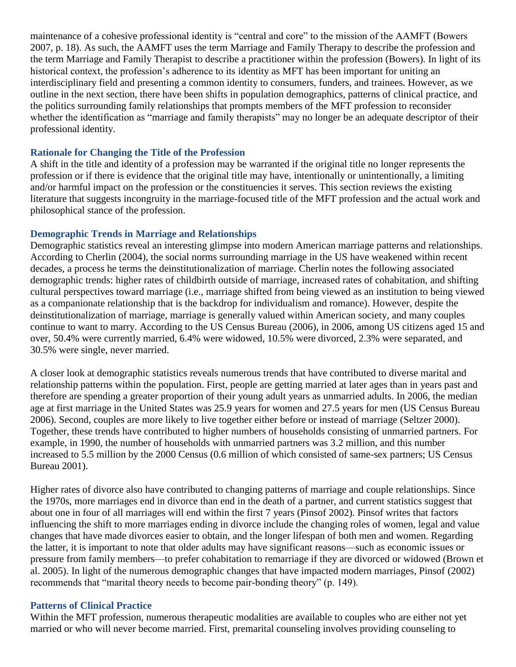maintenance of a cohesive professional identity is "central and core" to the mission of the AAMFT (Bowers 2007, p. 18). As such, the AAMFT uses the term Marriage and Family Therapy to describe the profession and the term Marriage and Family Therapist to describe a practitioner within the profession (Bowers). In light of its historical context, the profession's adherence to its identity as MFT has been important for uniting an interdisciplinary field and presenting a common identity to consumers, funders, and trainees. However, as we outline in the next section, there have been shifts in population demographics, patterns of clinical practice, and the politics surrounding family relationships that prompts members of the MFT profession to reconsider whether the identification as "marriage and family therapists" may no longer be an adequate descriptor of their professional identity.

## **Rationale for Changing the Title of the Profession**

A shift in the title and identity of a profession may be warranted if the original title no longer represents the profession or if there is evidence that the original title may have, intentionally or unintentionally, a limiting and/or harmful impact on the profession or the constituencies it serves. This section reviews the existing literature that suggests incongruity in the marriage-focused title of the MFT profession and the actual work and philosophical stance of the profession.

## **Demographic Trends in Marriage and Relationships**

Demographic statistics reveal an interesting glimpse into modern American marriage patterns and relationships. According to Cherlin (2004), the social norms surrounding marriage in the US have weakened within recent decades, a process he terms the deinstitutionalization of marriage. Cherlin notes the following associated demographic trends: higher rates of childbirth outside of marriage, increased rates of cohabitation, and shifting cultural perspectives toward marriage (i.e., marriage shifted from being viewed as an institution to being viewed as a companionate relationship that is the backdrop for individualism and romance). However, despite the deinstitutionalization of marriage, marriage is generally valued within American society, and many couples continue to want to marry. According to the US Census Bureau (2006), in 2006, among US citizens aged 15 and over, 50.4% were currently married, 6.4% were widowed, 10.5% were divorced, 2.3% were separated, and 30.5% were single, never married.

A closer look at demographic statistics reveals numerous trends that have contributed to diverse marital and relationship patterns within the population. First, people are getting married at later ages than in years past and therefore are spending a greater proportion of their young adult years as unmarried adults. In 2006, the median age at first marriage in the United States was 25.9 years for women and 27.5 years for men (US Census Bureau 2006). Second, couples are more likely to live together either before or instead of marriage (Seltzer 2000). Together, these trends have contributed to higher numbers of households consisting of unmarried partners. For example, in 1990, the number of households with unmarried partners was 3.2 million, and this number increased to 5.5 million by the 2000 Census (0.6 million of which consisted of same-sex partners; US Census Bureau 2001).

Higher rates of divorce also have contributed to changing patterns of marriage and couple relationships. Since the 1970s, more marriages end in divorce than end in the death of a partner, and current statistics suggest that about one in four of all marriages will end within the first 7 years (Pinsof 2002). Pinsof writes that factors influencing the shift to more marriages ending in divorce include the changing roles of women, legal and value changes that have made divorces easier to obtain, and the longer lifespan of both men and women. Regarding the latter, it is important to note that older adults may have significant reasons—such as economic issues or pressure from family members—to prefer cohabitation to remarriage if they are divorced or widowed (Brown et al. 2005). In light of the numerous demographic changes that have impacted modern marriages, Pinsof (2002) recommends that "marital theory needs to become pair-bonding theory" (p. 149).

#### **Patterns of Clinical Practice**

Within the MFT profession, numerous therapeutic modalities are available to couples who are either not yet married or who will never become married. First, premarital counseling involves providing counseling to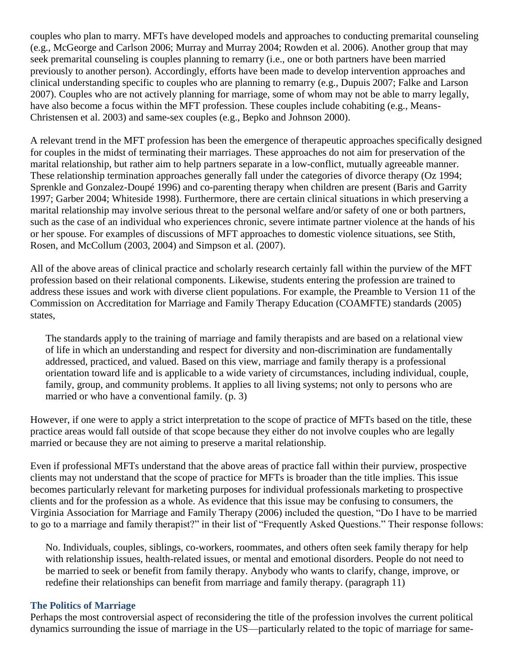couples who plan to marry. MFTs have developed models and approaches to conducting premarital counseling (e.g., McGeorge and Carlson 2006; Murray and Murray 2004; Rowden et al. 2006). Another group that may seek premarital counseling is couples planning to remarry (i.e., one or both partners have been married previously to another person). Accordingly, efforts have been made to develop intervention approaches and clinical understanding specific to couples who are planning to remarry (e.g., Dupuis 2007; Falke and Larson 2007). Couples who are not actively planning for marriage, some of whom may not be able to marry legally, have also become a focus within the MFT profession. These couples include cohabiting (e.g., Means-Christensen et al. 2003) and same-sex couples (e.g., Bepko and Johnson 2000).

A relevant trend in the MFT profession has been the emergence of therapeutic approaches specifically designed for couples in the midst of terminating their marriages. These approaches do not aim for preservation of the marital relationship, but rather aim to help partners separate in a low-conflict, mutually agreeable manner. These relationship termination approaches generally fall under the categories of divorce therapy (Oz 1994; Sprenkle and Gonzalez-Doupé 1996) and co-parenting therapy when children are present (Baris and Garrity 1997; Garber 2004; Whiteside 1998). Furthermore, there are certain clinical situations in which preserving a marital relationship may involve serious threat to the personal welfare and/or safety of one or both partners, such as the case of an individual who experiences chronic, severe intimate partner violence at the hands of his or her spouse. For examples of discussions of MFT approaches to domestic violence situations, see Stith, Rosen, and McCollum (2003, 2004) and Simpson et al. (2007).

All of the above areas of clinical practice and scholarly research certainly fall within the purview of the MFT profession based on their relational components. Likewise, students entering the profession are trained to address these issues and work with diverse client populations. For example, the Preamble to Version 11 of the Commission on Accreditation for Marriage and Family Therapy Education (COAMFTE) standards (2005) states,

The standards apply to the training of marriage and family therapists and are based on a relational view of life in which an understanding and respect for diversity and non-discrimination are fundamentally addressed, practiced, and valued. Based on this view, marriage and family therapy is a professional orientation toward life and is applicable to a wide variety of circumstances, including individual, couple, family, group, and community problems. It applies to all living systems; not only to persons who are married or who have a conventional family. (p. 3)

However, if one were to apply a strict interpretation to the scope of practice of MFTs based on the title, these practice areas would fall outside of that scope because they either do not involve couples who are legally married or because they are not aiming to preserve a marital relationship.

Even if professional MFTs understand that the above areas of practice fall within their purview, prospective clients may not understand that the scope of practice for MFTs is broader than the title implies. This issue becomes particularly relevant for marketing purposes for individual professionals marketing to prospective clients and for the profession as a whole. As evidence that this issue may be confusing to consumers, the Virginia Association for Marriage and Family Therapy (2006) included the question, "Do I have to be married to go to a marriage and family therapist?" in their list of "Frequently Asked Questions." Their response follows:

No. Individuals, couples, siblings, co-workers, roommates, and others often seek family therapy for help with relationship issues, health-related issues, or mental and emotional disorders. People do not need to be married to seek or benefit from family therapy. Anybody who wants to clarify, change, improve, or redefine their relationships can benefit from marriage and family therapy. (paragraph 11)

#### **The Politics of Marriage**

Perhaps the most controversial aspect of reconsidering the title of the profession involves the current political dynamics surrounding the issue of marriage in the US—particularly related to the topic of marriage for same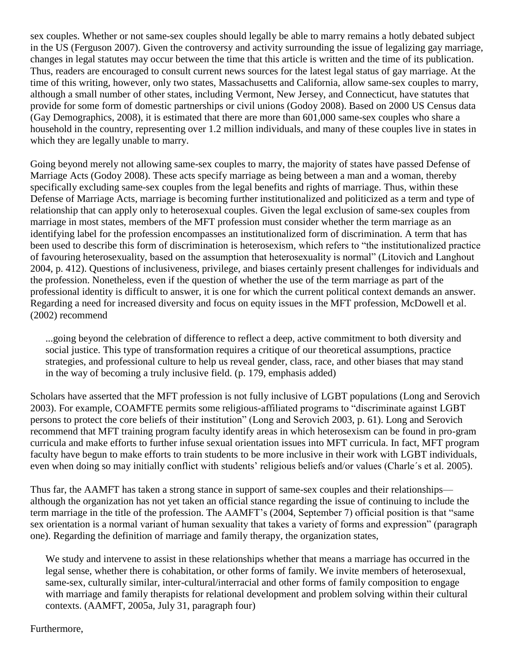sex couples. Whether or not same-sex couples should legally be able to marry remains a hotly debated subject in the US (Ferguson 2007). Given the controversy and activity surrounding the issue of legalizing gay marriage, changes in legal statutes may occur between the time that this article is written and the time of its publication. Thus, readers are encouraged to consult current news sources for the latest legal status of gay marriage. At the time of this writing, however, only two states, Massachusetts and California, allow same-sex couples to marry, although a small number of other states, including Vermont, New Jersey, and Connecticut, have statutes that provide for some form of domestic partnerships or civil unions (Godoy 2008). Based on 2000 US Census data (Gay Demographics, 2008), it is estimated that there are more than 601,000 same-sex couples who share a household in the country, representing over 1.2 million individuals, and many of these couples live in states in which they are legally unable to marry.

Going beyond merely not allowing same-sex couples to marry, the majority of states have passed Defense of Marriage Acts (Godoy 2008). These acts specify marriage as being between a man and a woman, thereby specifically excluding same-sex couples from the legal benefits and rights of marriage. Thus, within these Defense of Marriage Acts, marriage is becoming further institutionalized and politicized as a term and type of relationship that can apply only to heterosexual couples. Given the legal exclusion of same-sex couples from marriage in most states, members of the MFT profession must consider whether the term marriage as an identifying label for the profession encompasses an institutionalized form of discrimination. A term that has been used to describe this form of discrimination is heterosexism, which refers to "the institutionalized practice of favouring heterosexuality, based on the assumption that heterosexuality is normal" (Litovich and Langhout 2004, p. 412). Questions of inclusiveness, privilege, and biases certainly present challenges for individuals and the profession. Nonetheless, even if the question of whether the use of the term marriage as part of the professional identity is difficult to answer, it is one for which the current political context demands an answer. Regarding a need for increased diversity and focus on equity issues in the MFT profession, McDowell et al. (2002) recommend

...going beyond the celebration of difference to reflect a deep, active commitment to both diversity and social justice. This type of transformation requires a critique of our theoretical assumptions, practice strategies, and professional culture to help us reveal gender, class, race, and other biases that may stand in the way of becoming a truly inclusive field. (p. 179, emphasis added)

Scholars have asserted that the MFT profession is not fully inclusive of LGBT populations (Long and Serovich 2003). For example, COAMFTE permits some religious-affiliated programs to "discriminate against LGBT persons to protect the core beliefs of their institution‖ (Long and Serovich 2003, p. 61). Long and Serovich recommend that MFT training program faculty identify areas in which heterosexism can be found in pro-gram curricula and make efforts to further infuse sexual orientation issues into MFT curricula. In fact, MFT program faculty have begun to make efforts to train students to be more inclusive in their work with LGBT individuals, even when doing so may initially conflict with students' religious beliefs and/or values (Charle´s et al. 2005).

Thus far, the AAMFT has taken a strong stance in support of same-sex couples and their relationships although the organization has not yet taken an official stance regarding the issue of continuing to include the term marriage in the title of the profession. The AAMFT's (2004, September 7) official position is that "same" sex orientation is a normal variant of human sexuality that takes a variety of forms and expression" (paragraph one). Regarding the definition of marriage and family therapy, the organization states,

We study and intervene to assist in these relationships whether that means a marriage has occurred in the legal sense, whether there is cohabitation, or other forms of family. We invite members of heterosexual, same-sex, culturally similar, inter-cultural/interracial and other forms of family composition to engage with marriage and family therapists for relational development and problem solving within their cultural contexts. (AAMFT, 2005a, July 31, paragraph four)

Furthermore,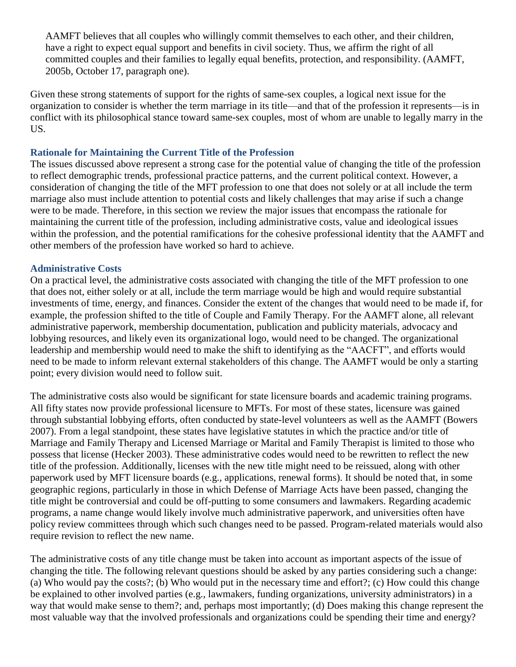AAMFT believes that all couples who willingly commit themselves to each other, and their children, have a right to expect equal support and benefits in civil society. Thus, we affirm the right of all committed couples and their families to legally equal benefits, protection, and responsibility. (AAMFT, 2005b, October 17, paragraph one).

Given these strong statements of support for the rights of same-sex couples, a logical next issue for the organization to consider is whether the term marriage in its title—and that of the profession it represents—is in conflict with its philosophical stance toward same-sex couples, most of whom are unable to legally marry in the US.

### **Rationale for Maintaining the Current Title of the Profession**

The issues discussed above represent a strong case for the potential value of changing the title of the profession to reflect demographic trends, professional practice patterns, and the current political context. However, a consideration of changing the title of the MFT profession to one that does not solely or at all include the term marriage also must include attention to potential costs and likely challenges that may arise if such a change were to be made. Therefore, in this section we review the major issues that encompass the rationale for maintaining the current title of the profession, including administrative costs, value and ideological issues within the profession, and the potential ramifications for the cohesive professional identity that the AAMFT and other members of the profession have worked so hard to achieve.

#### **Administrative Costs**

On a practical level, the administrative costs associated with changing the title of the MFT profession to one that does not, either solely or at all, include the term marriage would be high and would require substantial investments of time, energy, and finances. Consider the extent of the changes that would need to be made if, for example, the profession shifted to the title of Couple and Family Therapy. For the AAMFT alone, all relevant administrative paperwork, membership documentation, publication and publicity materials, advocacy and lobbying resources, and likely even its organizational logo, would need to be changed. The organizational leadership and membership would need to make the shift to identifying as the "AACFT", and efforts would need to be made to inform relevant external stakeholders of this change. The AAMFT would be only a starting point; every division would need to follow suit.

The administrative costs also would be significant for state licensure boards and academic training programs. All fifty states now provide professional licensure to MFTs. For most of these states, licensure was gained through substantial lobbying efforts, often conducted by state-level volunteers as well as the AAMFT (Bowers 2007). From a legal standpoint, these states have legislative statutes in which the practice and/or title of Marriage and Family Therapy and Licensed Marriage or Marital and Family Therapist is limited to those who possess that license (Hecker 2003). These administrative codes would need to be rewritten to reflect the new title of the profession. Additionally, licenses with the new title might need to be reissued, along with other paperwork used by MFT licensure boards (e.g., applications, renewal forms). It should be noted that, in some geographic regions, particularly in those in which Defense of Marriage Acts have been passed, changing the title might be controversial and could be off-putting to some consumers and lawmakers. Regarding academic programs, a name change would likely involve much administrative paperwork, and universities often have policy review committees through which such changes need to be passed. Program-related materials would also require revision to reflect the new name.

The administrative costs of any title change must be taken into account as important aspects of the issue of changing the title. The following relevant questions should be asked by any parties considering such a change: (a) Who would pay the costs?; (b) Who would put in the necessary time and effort?; (c) How could this change be explained to other involved parties (e.g., lawmakers, funding organizations, university administrators) in a way that would make sense to them?; and, perhaps most importantly; (d) Does making this change represent the most valuable way that the involved professionals and organizations could be spending their time and energy?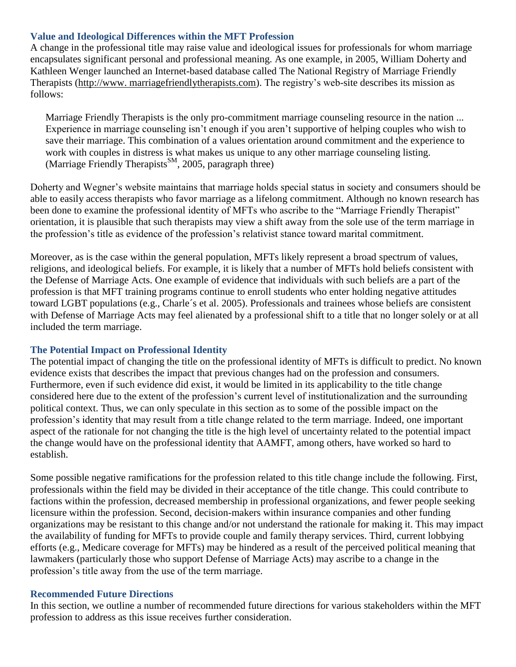### **Value and Ideological Differences within the MFT Profession**

A change in the professional title may raise value and ideological issues for professionals for whom marriage encapsulates significant personal and professional meaning. As one example, in 2005, William Doherty and Kathleen Wenger launched an Internet-based database called The National Registry of Marriage Friendly Therapists [\(http://www.](http://www.marriagefriendlytherapists.com/) marriagefriendlytherapists.com). The registry's web-site describes its mission as follows:

Marriage Friendly Therapists is the only pro-commitment marriage counseling resource in the nation ... Experience in marriage counseling isn't enough if you aren't supportive of helping couples who wish to save their marriage. This combination of a values orientation around commitment and the experience to work with couples in distress is what makes us unique to any other marriage counseling listing. (Marriage Friendly Therapists<sup>SM</sup>, 2005, paragraph three)

Doherty and Wegner's website maintains that marriage holds special status in society and consumers should be able to easily access therapists who favor marriage as a lifelong commitment. Although no known research has been done to examine the professional identity of MFTs who ascribe to the "Marriage Friendly Therapist" orientation, it is plausible that such therapists may view a shift away from the sole use of the term marriage in the profession's title as evidence of the profession's relativist stance toward marital commitment.

Moreover, as is the case within the general population, MFTs likely represent a broad spectrum of values, religions, and ideological beliefs. For example, it is likely that a number of MFTs hold beliefs consistent with the Defense of Marriage Acts. One example of evidence that individuals with such beliefs are a part of the profession is that MFT training programs continue to enroll students who enter holding negative attitudes toward LGBT populations (e.g., Charle´s et al. 2005). Professionals and trainees whose beliefs are consistent with Defense of Marriage Acts may feel alienated by a professional shift to a title that no longer solely or at all included the term marriage.

## **The Potential Impact on Professional Identity**

The potential impact of changing the title on the professional identity of MFTs is difficult to predict. No known evidence exists that describes the impact that previous changes had on the profession and consumers. Furthermore, even if such evidence did exist, it would be limited in its applicability to the title change considered here due to the extent of the profession's current level of institutionalization and the surrounding political context. Thus, we can only speculate in this section as to some of the possible impact on the profession's identity that may result from a title change related to the term marriage. Indeed, one important aspect of the rationale for not changing the title is the high level of uncertainty related to the potential impact the change would have on the professional identity that AAMFT, among others, have worked so hard to establish.

Some possible negative ramifications for the profession related to this title change include the following. First, professionals within the field may be divided in their acceptance of the title change. This could contribute to factions within the profession, decreased membership in professional organizations, and fewer people seeking licensure within the profession. Second, decision-makers within insurance companies and other funding organizations may be resistant to this change and/or not understand the rationale for making it. This may impact the availability of funding for MFTs to provide couple and family therapy services. Third, current lobbying efforts (e.g., Medicare coverage for MFTs) may be hindered as a result of the perceived political meaning that lawmakers (particularly those who support Defense of Marriage Acts) may ascribe to a change in the profession's title away from the use of the term marriage.

#### **Recommended Future Directions**

In this section, we outline a number of recommended future directions for various stakeholders within the MFT profession to address as this issue receives further consideration.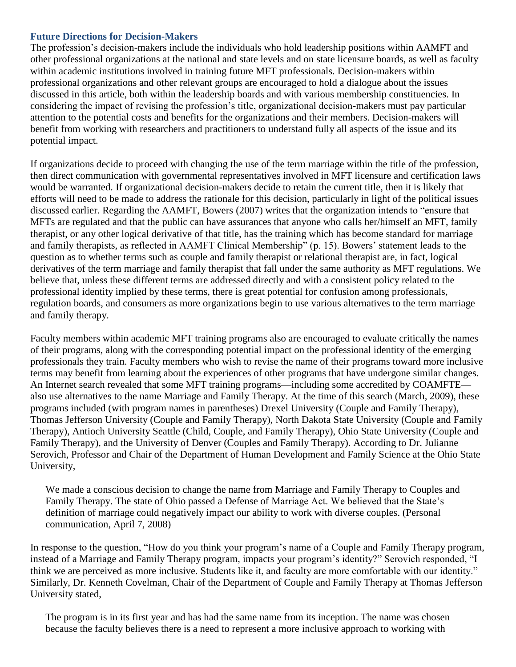## **Future Directions for Decision-Makers**

The profession's decision-makers include the individuals who hold leadership positions within AAMFT and other professional organizations at the national and state levels and on state licensure boards, as well as faculty within academic institutions involved in training future MFT professionals. Decision-makers within professional organizations and other relevant groups are encouraged to hold a dialogue about the issues discussed in this article, both within the leadership boards and with various membership constituencies. In considering the impact of revising the profession's title, organizational decision-makers must pay particular attention to the potential costs and benefits for the organizations and their members. Decision-makers will benefit from working with researchers and practitioners to understand fully all aspects of the issue and its potential impact.

If organizations decide to proceed with changing the use of the term marriage within the title of the profession, then direct communication with governmental representatives involved in MFT licensure and certification laws would be warranted. If organizational decision-makers decide to retain the current title, then it is likely that efforts will need to be made to address the rationale for this decision, particularly in light of the political issues discussed earlier. Regarding the AAMFT, Bowers (2007) writes that the organization intends to "ensure that MFTs are regulated and that the public can have assurances that anyone who calls her/himself an MFT, family therapist, or any other logical derivative of that title, has the training which has become standard for marriage and family therapists, as reflected in AAMFT Clinical Membership" (p. 15). Bowers' statement leads to the question as to whether terms such as couple and family therapist or relational therapist are, in fact, logical derivatives of the term marriage and family therapist that fall under the same authority as MFT regulations. We believe that, unless these different terms are addressed directly and with a consistent policy related to the professional identity implied by these terms, there is great potential for confusion among professionals, regulation boards, and consumers as more organizations begin to use various alternatives to the term marriage and family therapy.

Faculty members within academic MFT training programs also are encouraged to evaluate critically the names of their programs, along with the corresponding potential impact on the professional identity of the emerging professionals they train. Faculty members who wish to revise the name of their programs toward more inclusive terms may benefit from learning about the experiences of other programs that have undergone similar changes. An Internet search revealed that some MFT training programs—including some accredited by COAMFTE also use alternatives to the name Marriage and Family Therapy. At the time of this search (March, 2009), these programs included (with program names in parentheses) Drexel University (Couple and Family Therapy), Thomas Jefferson University (Couple and Family Therapy), North Dakota State University (Couple and Family Therapy), Antioch University Seattle (Child, Couple, and Family Therapy), Ohio State University (Couple and Family Therapy), and the University of Denver (Couples and Family Therapy). According to Dr. Julianne Serovich, Professor and Chair of the Department of Human Development and Family Science at the Ohio State University,

We made a conscious decision to change the name from Marriage and Family Therapy to Couples and Family Therapy. The state of Ohio passed a Defense of Marriage Act. We believed that the State's definition of marriage could negatively impact our ability to work with diverse couples. (Personal communication, April 7, 2008)

In response to the question, "How do you think your program's name of a Couple and Family Therapy program, instead of a Marriage and Family Therapy program, impacts your program's identity?" Serovich responded, "I think we are perceived as more inclusive. Students like it, and faculty are more comfortable with our identity." Similarly, Dr. Kenneth Covelman, Chair of the Department of Couple and Family Therapy at Thomas Jefferson University stated,

The program is in its first year and has had the same name from its inception. The name was chosen because the faculty believes there is a need to represent a more inclusive approach to working with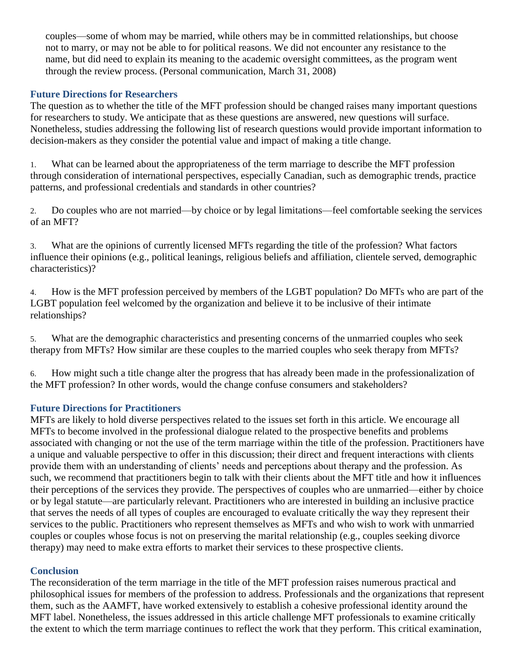couples—some of whom may be married, while others may be in committed relationships, but choose not to marry, or may not be able to for political reasons. We did not encounter any resistance to the name, but did need to explain its meaning to the academic oversight committees, as the program went through the review process. (Personal communication, March 31, 2008)

## **Future Directions for Researchers**

The question as to whether the title of the MFT profession should be changed raises many important questions for researchers to study. We anticipate that as these questions are answered, new questions will surface. Nonetheless, studies addressing the following list of research questions would provide important information to decision-makers as they consider the potential value and impact of making a title change.

1. What can be learned about the appropriateness of the term marriage to describe the MFT profession through consideration of international perspectives, especially Canadian, such as demographic trends, practice patterns, and professional credentials and standards in other countries?

2. Do couples who are not married—by choice or by legal limitations—feel comfortable seeking the services of an MFT?

3. What are the opinions of currently licensed MFTs regarding the title of the profession? What factors influence their opinions (e.g., political leanings, religious beliefs and affiliation, clientele served, demographic characteristics)?

4. How is the MFT profession perceived by members of the LGBT population? Do MFTs who are part of the LGBT population feel welcomed by the organization and believe it to be inclusive of their intimate relationships?

5. What are the demographic characteristics and presenting concerns of the unmarried couples who seek therapy from MFTs? How similar are these couples to the married couples who seek therapy from MFTs?

6. How might such a title change alter the progress that has already been made in the professionalization of the MFT profession? In other words, would the change confuse consumers and stakeholders?

## **Future Directions for Practitioners**

MFTs are likely to hold diverse perspectives related to the issues set forth in this article. We encourage all MFTs to become involved in the professional dialogue related to the prospective benefits and problems associated with changing or not the use of the term marriage within the title of the profession. Practitioners have a unique and valuable perspective to offer in this discussion; their direct and frequent interactions with clients provide them with an understanding of clients' needs and perceptions about therapy and the profession. As such, we recommend that practitioners begin to talk with their clients about the MFT title and how it influences their perceptions of the services they provide. The perspectives of couples who are unmarried—either by choice or by legal statute—are particularly relevant. Practitioners who are interested in building an inclusive practice that serves the needs of all types of couples are encouraged to evaluate critically the way they represent their services to the public. Practitioners who represent themselves as MFTs and who wish to work with unmarried couples or couples whose focus is not on preserving the marital relationship (e.g., couples seeking divorce therapy) may need to make extra efforts to market their services to these prospective clients.

## **Conclusion**

The reconsideration of the term marriage in the title of the MFT profession raises numerous practical and philosophical issues for members of the profession to address. Professionals and the organizations that represent them, such as the AAMFT, have worked extensively to establish a cohesive professional identity around the MFT label. Nonetheless, the issues addressed in this article challenge MFT professionals to examine critically the extent to which the term marriage continues to reflect the work that they perform. This critical examination,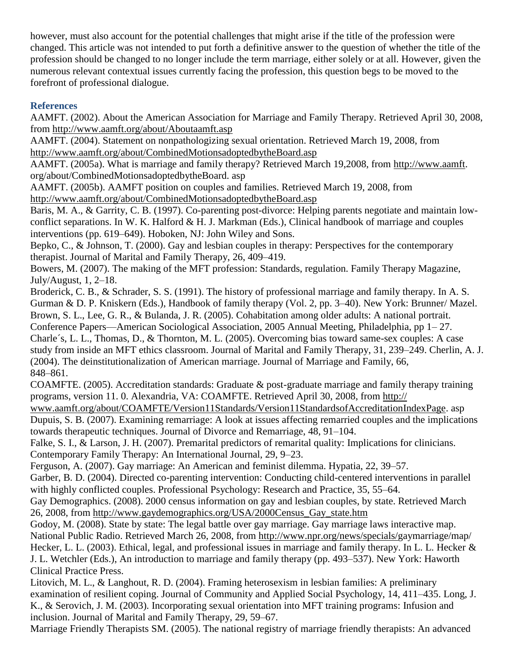however, must also account for the potential challenges that might arise if the title of the profession were changed. This article was not intended to put forth a definitive answer to the question of whether the title of the profession should be changed to no longer include the term marriage, either solely or at all. However, given the numerous relevant contextual issues currently facing the profession, this question begs to be moved to the forefront of professional dialogue.

# **References**

AAMFT. (2002). About the American Association for Marriage and Family Therapy. Retrieved April 30, 2008, from <http://www.aamft.org/about/Aboutaamft.asp>

AAMFT. (2004). Statement on nonpathologizing sexual orientation. Retrieved March 19, 2008, from <http://www.aamft.org/about/CombinedMotionsadoptedbytheBoard.asp>

AAMFT. (2005a). What is marriage and family therapy? Retrieved March 19,2008, from [http://www.aamft.](http://www.aamft/) org/about/CombinedMotionsadoptedbytheBoard. asp

AAMFT. (2005b). AAMFT position on couples and families. Retrieved March 19, 2008, from <http://www.aamft.org/about/CombinedMotionsadoptedbytheBoard.asp>

Baris, M. A., & Garrity, C. B. (1997). Co-parenting post-divorce: Helping parents negotiate and maintain lowconflict separations. In W. K. Halford & H. J. Markman (Eds.), Clinical handbook of marriage and couples interventions (pp. 619–649). Hoboken, NJ: John Wiley and Sons.

Bepko, C., & Johnson, T. (2000). Gay and lesbian couples in therapy: Perspectives for the contemporary therapist. Journal of Marital and Family Therapy, 26, 409–419.

Bowers, M. (2007). The making of the MFT profession: Standards, regulation. Family Therapy Magazine, July/August, 1, 2–18.

Broderick, C. B., & Schrader, S. S. (1991). The history of professional marriage and family therapy. In A. S. Gurman & D. P. Kniskern (Eds.), Handbook of family therapy (Vol. 2, pp. 3–40). New York: Brunner/ Mazel. Brown, S. L., Lee, G. R., & Bulanda, J. R. (2005). Cohabitation among older adults: A national portrait. Conference Papers—American Sociological Association, 2005 Annual Meeting, Philadelphia, pp 1– 27. Charle´s, L. L., Thomas, D., & Thornton, M. L. (2005). Overcoming bias toward same-sex couples: A case study from inside an MFT ethics classroom. Journal of Marital and Family Therapy, 31, 239–249. Cherlin, A. J. (2004). The deinstitutionalization of American marriage. Journal of Marriage and Family, 66, 848–861.

COAMFTE. (2005). Accreditation standards: Graduate & post-graduate marriage and family therapy training programs, version 11. 0. Alexandria, VA: COAMFTE. Retrieved April 30, 2008, from [http://](http://www.aamft.org/about/COAMFTE/Version11Standards/Version11StandardsofAccreditationIndexPage)

www.aamft.org/about/COAMFTE/Version11Standards/Version11StandardsofAccreditationIndexPage. asp Dupuis, S. B. (2007). Examining remarriage: A look at issues affecting remarried couples and the implications towards therapeutic techniques. Journal of Divorce and Remarriage, 48, 91–104.

Falke, S. I., & Larson, J. H. (2007). Premarital predictors of remarital quality: Implications for clinicians. Contemporary Family Therapy: An International Journal, 29, 9–23.

Ferguson, A. (2007). Gay marriage: An American and feminist dilemma. Hypatia, 22, 39–57.

Garber, B. D. (2004). Directed co-parenting intervention: Conducting child-centered interventions in parallel with highly conflicted couples. Professional Psychology: Research and Practice, 35, 55–64.

Gay Demographics. (2008). 2000 census information on gay and lesbian couples, by state. Retrieved March 26, 2008, from [http://www.gaydemographics.org/USA/2000Census\\_Gay\\_state.htm](http://www.gaydemographics.org/USA/2000Census_Gay_state.htm)

Godoy, M. (2008). State by state: The legal battle over gay marriage. Gay marriage laws interactive map. National Public Radio. Retrieved March 26, 2008, from [http://www.npr.org/news/specials/g](http://www.npr.org/news/specials/)aymarriage/map/ Hecker, L. L. (2003). Ethical, legal, and professional issues in marriage and family therapy. In L. L. Hecker & J. L. Wetchler (Eds.), An introduction to marriage and family therapy (pp. 493–537). New York: Haworth Clinical Practice Press.

Litovich, M. L., & Langhout, R. D. (2004). Framing heterosexism in lesbian families: A preliminary examination of resilient coping. Journal of Community and Applied Social Psychology, 14, 411–435. Long, J. K., & Serovich, J. M. (2003). Incorporating sexual orientation into MFT training programs: Infusion and inclusion. Journal of Marital and Family Therapy, 29, 59–67.

Marriage Friendly Therapists SM. (2005). The national registry of marriage friendly therapists: An advanced